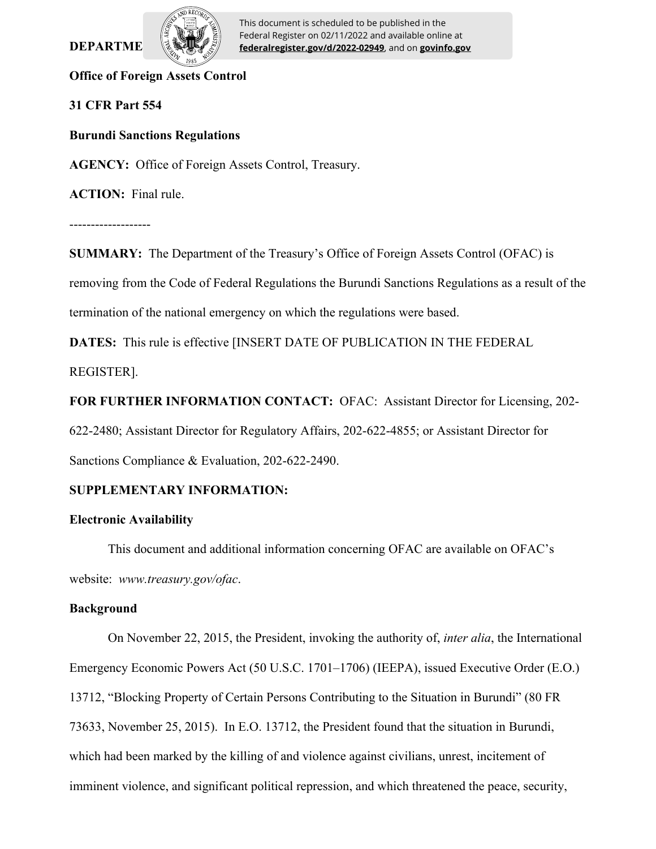### **DEPARTME**



This document is scheduled to be published in the Federal Register on 02/11/2022 and available online at **federalregister.gov/d/2022-02949**, and on **govinfo.gov**

**Office of Foreign Assets Control**

**31 CFR Part 554**

**Burundi Sanctions Regulations**

**AGENCY:** Office of Foreign Assets Control, Treasury.

**ACTION:** Final rule.

-------------------

**SUMMARY:** The Department of the Treasury's Office of Foreign Assets Control (OFAC) is removing from the Code of Federal Regulations the Burundi Sanctions Regulations as a result of the termination of the national emergency on which the regulations were based.

**DATES:** This rule is effective [INSERT DATE OF PUBLICATION IN THE FEDERAL REGISTER].

**FOR FURTHER INFORMATION CONTACT:** OFAC: Assistant Director for Licensing, 202- 622-2480; Assistant Director for Regulatory Affairs, 202-622-4855; or Assistant Director for Sanctions Compliance & Evaluation, 202-622-2490.

## **SUPPLEMENTARY INFORMATION:**

#### **Electronic Availability**

This document and additional information concerning OFAC are available on OFAC's website: *www.treasury.gov/ofac*.

#### **Background**

On November 22, 2015, the President, invoking the authority of, *inter alia*, the International Emergency Economic Powers Act (50 U.S.C. 1701–1706) (IEEPA), issued Executive Order (E.O.) 13712, "Blocking Property of Certain Persons Contributing to the Situation in Burundi" (80 FR 73633, November 25, 2015). In E.O. 13712, the President found that the situation in Burundi, which had been marked by the killing of and violence against civilians, unrest, incitement of imminent violence, and significant political repression, and which threatened the peace, security,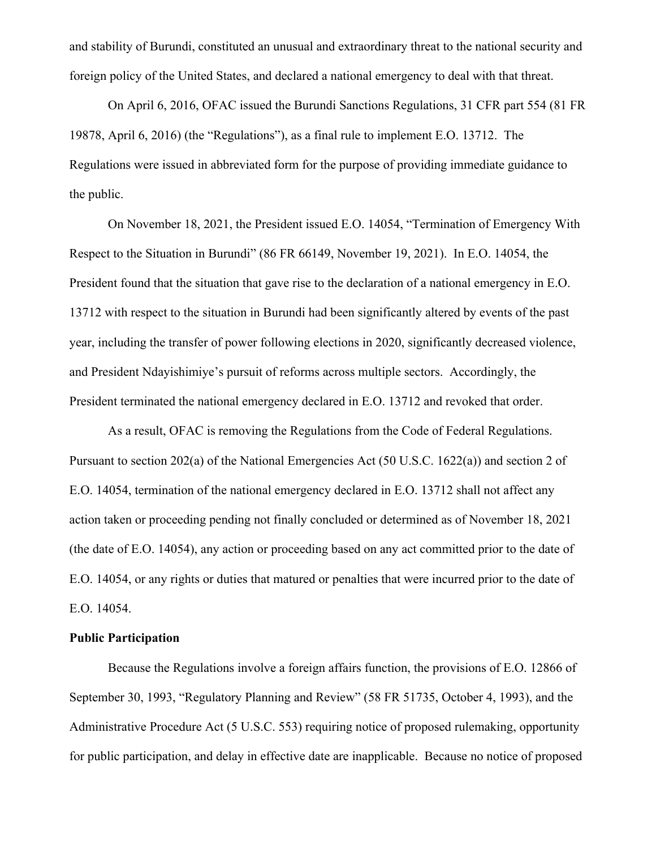and stability of Burundi, constituted an unusual and extraordinary threat to the national security and foreign policy of the United States, and declared a national emergency to deal with that threat.

On April 6, 2016, OFAC issued the Burundi Sanctions Regulations, 31 CFR part 554 (81 FR 19878, April 6, 2016) (the "Regulations"), as a final rule to implement E.O. 13712. The Regulations were issued in abbreviated form for the purpose of providing immediate guidance to the public.

On November 18, 2021, the President issued E.O. 14054, "Termination of Emergency With Respect to the Situation in Burundi" (86 FR 66149, November 19, 2021). In E.O. 14054, the President found that the situation that gave rise to the declaration of a national emergency in E.O. 13712 with respect to the situation in Burundi had been significantly altered by events of the past year, including the transfer of power following elections in 2020, significantly decreased violence, and President Ndayishimiye's pursuit of reforms across multiple sectors. Accordingly, the President terminated the national emergency declared in E.O. 13712 and revoked that order.

As a result, OFAC is removing the Regulations from the Code of Federal Regulations. Pursuant to section 202(a) of the National Emergencies Act (50 U.S.C. 1622(a)) and section 2 of E.O. 14054, termination of the national emergency declared in E.O. 13712 shall not affect any action taken or proceeding pending not finally concluded or determined as of November 18, 2021 (the date of E.O. 14054), any action or proceeding based on any act committed prior to the date of E.O. 14054, or any rights or duties that matured or penalties that were incurred prior to the date of E.O. 14054.

#### **Public Participation**

Because the Regulations involve a foreign affairs function, the provisions of E.O. 12866 of September 30, 1993, "Regulatory Planning and Review" (58 FR 51735, October 4, 1993), and the Administrative Procedure Act (5 U.S.C. 553) requiring notice of proposed rulemaking, opportunity for public participation, and delay in effective date are inapplicable. Because no notice of proposed